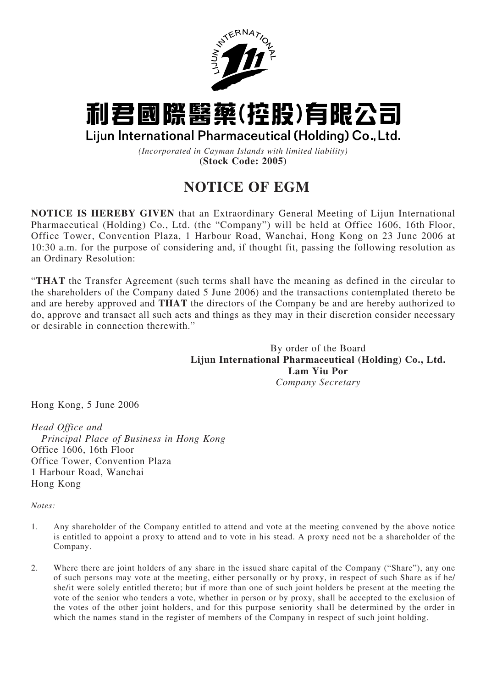

## 利君國際醫藥(控股)有限公司

Lijun International Pharmaceutical (Holding) Co., Ltd.

*(Incorporated in Cayman Islands with limited liability)* **(Stock Code: 2005)**

## **NOTICE OF EGM**

**NOTICE IS HEREBY GIVEN** that an Extraordinary General Meeting of Lijun International Pharmaceutical (Holding) Co., Ltd. (the "Company") will be held at Office 1606, 16th Floor, Office Tower, Convention Plaza, 1 Harbour Road, Wanchai, Hong Kong on 23 June 2006 at 10:30 a.m. for the purpose of considering and, if thought fit, passing the following resolution as an Ordinary Resolution:

"**THAT** the Transfer Agreement (such terms shall have the meaning as defined in the circular to the shareholders of the Company dated 5 June 2006) and the transactions contemplated thereto be and are hereby approved and **THAT** the directors of the Company be and are hereby authorized to do, approve and transact all such acts and things as they may in their discretion consider necessary or desirable in connection therewith."

> By order of the Board **Lijun International Pharmaceutical (Holding) Co., Ltd. Lam Yiu Por** *Company Secretary*

Hong Kong, 5 June 2006

*Head Office and Principal Place of Business in Hong Kong* Office 1606, 16th Floor Office Tower, Convention Plaza 1 Harbour Road, Wanchai Hong Kong

*Notes:*

- 1. Any shareholder of the Company entitled to attend and vote at the meeting convened by the above notice is entitled to appoint a proxy to attend and to vote in his stead. A proxy need not be a shareholder of the Company.
- 2. Where there are joint holders of any share in the issued share capital of the Company ("Share"), any one of such persons may vote at the meeting, either personally or by proxy, in respect of such Share as if he/ she/it were solely entitled thereto; but if more than one of such joint holders be present at the meeting the vote of the senior who tenders a vote, whether in person or by proxy, shall be accepted to the exclusion of the votes of the other joint holders, and for this purpose seniority shall be determined by the order in which the names stand in the register of members of the Company in respect of such joint holding.